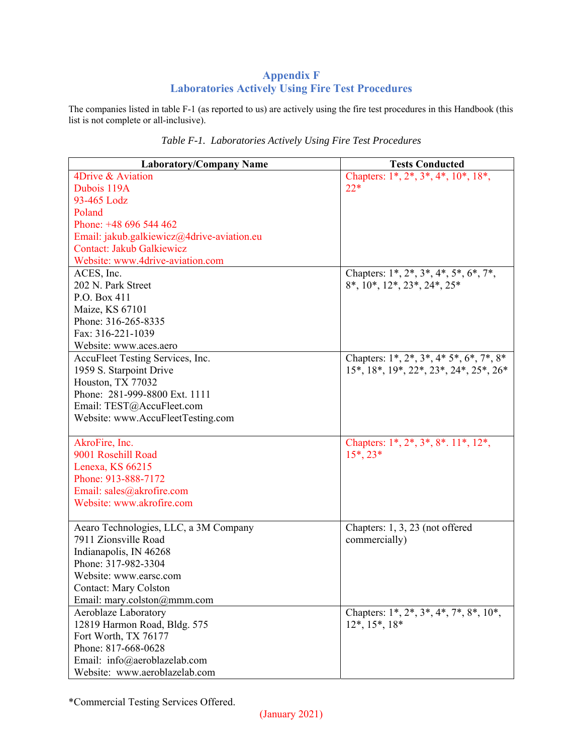## **Appendix F Laboratories Actively Using Fire Test Procedures**

The companies listed in table F-1 (as reported to us) are actively using the fire test procedures in this Handbook (this list is not complete or all-inclusive).

| <b>Laboratory/Company Name</b>             | <b>Tests Conducted</b>                                                |
|--------------------------------------------|-----------------------------------------------------------------------|
| 4Drive & Aviation                          | Chapters: $1^*, 2^*, 3^*, 4^*, 10^*, 18^*,$                           |
| Dubois 119A                                | $22*$                                                                 |
| 93-465 Lodz                                |                                                                       |
| Poland                                     |                                                                       |
| Phone: +48 696 544 462                     |                                                                       |
| Email: jakub.galkiewicz@4drive-aviation.eu |                                                                       |
| Contact: Jakub Galkiewicz                  |                                                                       |
| Website: www.4drive-aviation.com           |                                                                       |
| ACES, Inc.                                 | Chapters: 1*, 2*, 3*, 4*, 5*, 6*, 7*,                                 |
| 202 N. Park Street                         | $8^*$ , $10^*$ , $12^*$ , $23^*$ , $24^*$ , $25^*$                    |
| P.O. Box 411                               |                                                                       |
| Maize, KS 67101                            |                                                                       |
| Phone: 316-265-8335                        |                                                                       |
| Fax: 316-221-1039                          |                                                                       |
| Website: www.aces.aero                     |                                                                       |
| AccuFleet Testing Services, Inc.           | Chapters: 1*, 2*, 3*, 4* 5*, 6*, 7*, 8*                               |
| 1959 S. Starpoint Drive                    | $15^*$ , $18^*$ , $19^*$ , $22^*$ , $23^*$ , $24^*$ , $25^*$ , $26^*$ |
| Houston, TX 77032                          |                                                                       |
| Phone: 281-999-8800 Ext. 1111              |                                                                       |
| Email: TEST@AccuFleet.com                  |                                                                       |
| Website: www.AccuFleetTesting.com          |                                                                       |
|                                            |                                                                       |
| AkroFire, Inc.                             | Chapters: $1^*, 2^*, 3^*, 8^*. 11^*. 12^*.$                           |
| 9001 Rosehill Road                         | $15^*$ , $23^*$                                                       |
| Lenexa, KS 66215                           |                                                                       |
| Phone: 913-888-7172                        |                                                                       |
| Email: sales@akrofire.com                  |                                                                       |
| Website: www.akrofire.com                  |                                                                       |
|                                            |                                                                       |
| Aearo Technologies, LLC, a 3M Company      | Chapters: 1, 3, 23 (not offered                                       |
| 7911 Zionsville Road                       | commercially)                                                         |
| Indianapolis, IN 46268                     |                                                                       |
| Phone: 317-982-3304                        |                                                                       |
| Website: www.earsc.com                     |                                                                       |
| <b>Contact: Mary Colston</b>               |                                                                       |
| Email: mary.colston@mmm.com                |                                                                       |
| Aeroblaze Laboratory                       | Chapters: 1*, 2*, 3*, 4*, 7*, 8*, 10*,                                |
| 12819 Harmon Road, Bldg. 575               | $12^*, 15^*, 18^*$                                                    |
| Fort Worth, TX 76177                       |                                                                       |
| Phone: 817-668-0628                        |                                                                       |
| Email: info@aeroblazelab.com               |                                                                       |
| Website: www.aeroblazelab.com              |                                                                       |

*Table F-1. Laboratories Actively Using Fire Test Procedures*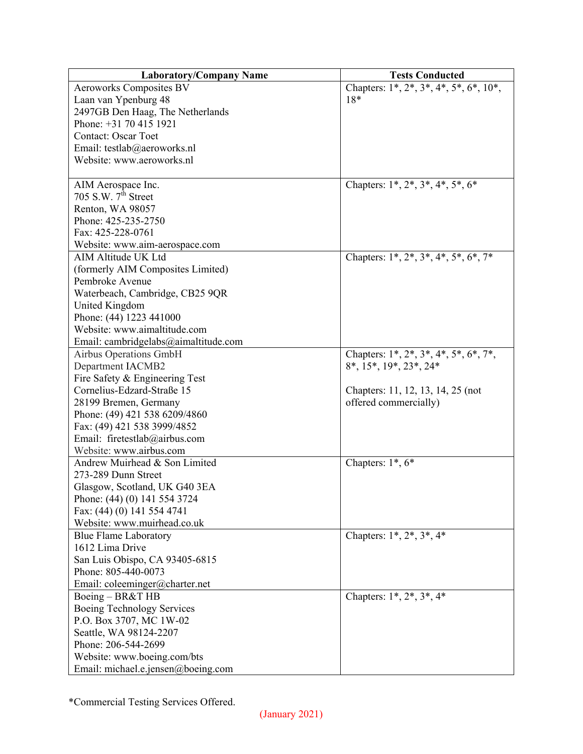| Chapters: $1^*$ , $2^*$ , $3^*$ , $4^*$ , $5^*$ , $6^*$ , $10^*$ ,<br><b>Aeroworks Composites BV</b><br>$18*$<br>Laan van Ypenburg 48<br>2497GB Den Haag, The Netherlands<br>Phone: +31 70 415 1921<br><b>Contact: Oscar Toet</b><br>Email: testlab@aeroworks.nl |
|------------------------------------------------------------------------------------------------------------------------------------------------------------------------------------------------------------------------------------------------------------------|
|                                                                                                                                                                                                                                                                  |
|                                                                                                                                                                                                                                                                  |
|                                                                                                                                                                                                                                                                  |
|                                                                                                                                                                                                                                                                  |
|                                                                                                                                                                                                                                                                  |
|                                                                                                                                                                                                                                                                  |
| Website: www.aeroworks.nl                                                                                                                                                                                                                                        |
|                                                                                                                                                                                                                                                                  |
| Chapters: $1^*, 2^*, 3^*, 4^*, 5^*, 6^*$<br>AIM Aerospace Inc.                                                                                                                                                                                                   |
| 705 S.W. $7th$ Street                                                                                                                                                                                                                                            |
| Renton, WA 98057                                                                                                                                                                                                                                                 |
| Phone: 425-235-2750                                                                                                                                                                                                                                              |
| Fax: 425-228-0761                                                                                                                                                                                                                                                |
| Website: www.aim-aerospace.com                                                                                                                                                                                                                                   |
| AIM Altitude UK Ltd<br>Chapters: $1^*$ , $2^*$ , $3^*$ , $4^*$ , $5^*$ , $6^*$ , $7^*$                                                                                                                                                                           |
| (formerly AIM Composites Limited)                                                                                                                                                                                                                                |
| Pembroke Avenue                                                                                                                                                                                                                                                  |
| Waterbeach, Cambridge, CB25 9QR                                                                                                                                                                                                                                  |
| United Kingdom                                                                                                                                                                                                                                                   |
| Phone: (44) 1223 441000                                                                                                                                                                                                                                          |
| Website: www.aimaltitude.com                                                                                                                                                                                                                                     |
| Email: cambridgelabs@aimaltitude.com                                                                                                                                                                                                                             |
| Airbus Operations GmbH<br>Chapters: $1^*, 2^*, 3^*, 4^*, 5^*, 6^*, 7^*,$                                                                                                                                                                                         |
| <b>Department IACMB2</b><br>$8^*$ , $15^*$ , $19^*$ , $23^*$ , $24^*$                                                                                                                                                                                            |
| Fire Safety & Engineering Test                                                                                                                                                                                                                                   |
| Cornelius-Edzard-Straße 15<br>Chapters: 11, 12, 13, 14, 25 (not                                                                                                                                                                                                  |
| offered commercially)<br>28199 Bremen, Germany                                                                                                                                                                                                                   |
| Phone: (49) 421 538 6209/4860                                                                                                                                                                                                                                    |
| Fax: (49) 421 538 3999/4852                                                                                                                                                                                                                                      |
| Email: firetestlab@airbus.com                                                                                                                                                                                                                                    |
| Website: www.airbus.com                                                                                                                                                                                                                                          |
| Andrew Muirhead & Son Limited<br>Chapters: $1^*, 6^*$                                                                                                                                                                                                            |
| 273-289 Dunn Street                                                                                                                                                                                                                                              |
| Glasgow, Scotland, UK G40 3EA                                                                                                                                                                                                                                    |
| Phone: (44) (0) 141 554 3724                                                                                                                                                                                                                                     |
| Fax: (44) (0) 141 554 4741                                                                                                                                                                                                                                       |
| Website: www.muirhead.co.uk                                                                                                                                                                                                                                      |
| Chapters: $1^*$ , $2^*$ , $3^*$ , $4^*$<br><b>Blue Flame Laboratory</b>                                                                                                                                                                                          |
| 1612 Lima Drive                                                                                                                                                                                                                                                  |
| San Luis Obispo, CA 93405-6815                                                                                                                                                                                                                                   |
| Phone: 805-440-0073                                                                                                                                                                                                                                              |
| Email: coleeminger@charter.net                                                                                                                                                                                                                                   |
| Chapters: $1^*, 2^*, 3^*, 4^*$<br>Boeing - BR&T HB                                                                                                                                                                                                               |
| Boeing Technology Services                                                                                                                                                                                                                                       |
| P.O. Box 3707, MC 1W-02                                                                                                                                                                                                                                          |
| Seattle, WA 98124-2207                                                                                                                                                                                                                                           |
| Phone: 206-544-2699                                                                                                                                                                                                                                              |
| Website: www.boeing.com/bts                                                                                                                                                                                                                                      |
| Email: michael.e.jensen@boeing.com                                                                                                                                                                                                                               |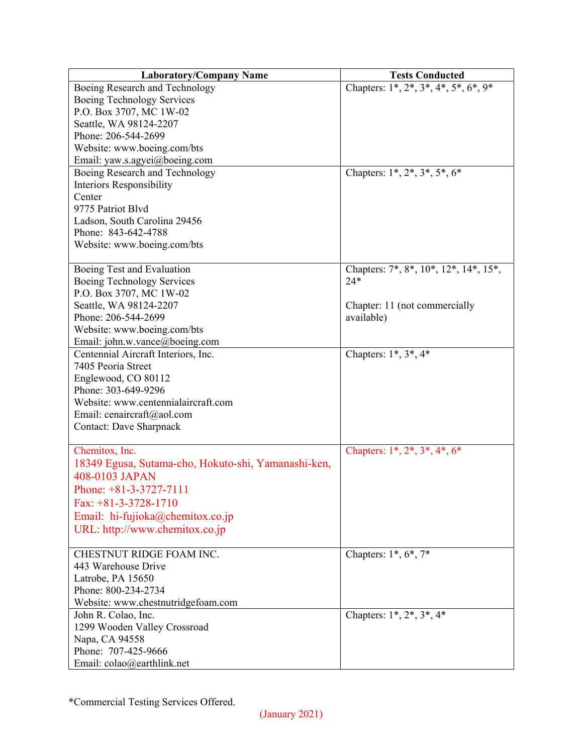| Chapters: $1^*, 2^*, 3^*, 4^*, 5^*, 6^*, 9^*$<br>Boeing Research and Technology<br>Boeing Technology Services<br>P.O. Box 3707, MC 1W-02<br>Seattle, WA 98124-2207<br>Phone: 206-544-2699<br>Website: www.boeing.com/bts<br>Email: yaw.s.agyei@boeing.com<br>Chapters: $1^*, 2^*, 3^*, 5^*, 6^*$<br>Boeing Research and Technology<br><b>Interiors Responsibility</b><br>Center<br>9775 Patriot Blvd<br>Ladson, South Carolina 29456<br>Phone: 843-642-4788<br>Website: www.boeing.com/bts<br>Chapters: 7*, 8*, 10*, 12*, 14*, 15*,<br>Boeing Test and Evaluation<br>$24*$<br>Boeing Technology Services<br>P.O. Box 3707, MC 1W-02<br>Seattle, WA 98124-2207<br>Chapter: 11 (not commercially<br>Phone: 206-544-2699<br>available)<br>Website: www.boeing.com/bts<br>Email: john.w.vance@boeing.com<br>Centennial Aircraft Interiors, Inc.<br>Chapters: $1^*, 3^*, 4^*$<br>7405 Peoria Street<br>Englewood, CO 80112<br>Phone: 303-649-9296<br>Website: www.centennialaircraft.com<br>Email: cenaircraft@aol.com<br><b>Contact: Dave Sharpnack</b><br>Chemitox, Inc.<br>Chapters: $1^*, 2^*, 3^*, 4^*, 6^*$<br>18349 Egusa, Sutama-cho, Hokuto-shi, Yamanashi-ken,<br>408-0103 JAPAN | <b>Laboratory/Company Name</b> | <b>Tests Conducted</b> |
|---------------------------------------------------------------------------------------------------------------------------------------------------------------------------------------------------------------------------------------------------------------------------------------------------------------------------------------------------------------------------------------------------------------------------------------------------------------------------------------------------------------------------------------------------------------------------------------------------------------------------------------------------------------------------------------------------------------------------------------------------------------------------------------------------------------------------------------------------------------------------------------------------------------------------------------------------------------------------------------------------------------------------------------------------------------------------------------------------------------------------------------------------------------------------------------|--------------------------------|------------------------|
|                                                                                                                                                                                                                                                                                                                                                                                                                                                                                                                                                                                                                                                                                                                                                                                                                                                                                                                                                                                                                                                                                                                                                                                       |                                |                        |
|                                                                                                                                                                                                                                                                                                                                                                                                                                                                                                                                                                                                                                                                                                                                                                                                                                                                                                                                                                                                                                                                                                                                                                                       |                                |                        |
|                                                                                                                                                                                                                                                                                                                                                                                                                                                                                                                                                                                                                                                                                                                                                                                                                                                                                                                                                                                                                                                                                                                                                                                       |                                |                        |
|                                                                                                                                                                                                                                                                                                                                                                                                                                                                                                                                                                                                                                                                                                                                                                                                                                                                                                                                                                                                                                                                                                                                                                                       |                                |                        |
|                                                                                                                                                                                                                                                                                                                                                                                                                                                                                                                                                                                                                                                                                                                                                                                                                                                                                                                                                                                                                                                                                                                                                                                       |                                |                        |
|                                                                                                                                                                                                                                                                                                                                                                                                                                                                                                                                                                                                                                                                                                                                                                                                                                                                                                                                                                                                                                                                                                                                                                                       |                                |                        |
|                                                                                                                                                                                                                                                                                                                                                                                                                                                                                                                                                                                                                                                                                                                                                                                                                                                                                                                                                                                                                                                                                                                                                                                       |                                |                        |
|                                                                                                                                                                                                                                                                                                                                                                                                                                                                                                                                                                                                                                                                                                                                                                                                                                                                                                                                                                                                                                                                                                                                                                                       |                                |                        |
|                                                                                                                                                                                                                                                                                                                                                                                                                                                                                                                                                                                                                                                                                                                                                                                                                                                                                                                                                                                                                                                                                                                                                                                       |                                |                        |
|                                                                                                                                                                                                                                                                                                                                                                                                                                                                                                                                                                                                                                                                                                                                                                                                                                                                                                                                                                                                                                                                                                                                                                                       |                                |                        |
|                                                                                                                                                                                                                                                                                                                                                                                                                                                                                                                                                                                                                                                                                                                                                                                                                                                                                                                                                                                                                                                                                                                                                                                       |                                |                        |
|                                                                                                                                                                                                                                                                                                                                                                                                                                                                                                                                                                                                                                                                                                                                                                                                                                                                                                                                                                                                                                                                                                                                                                                       |                                |                        |
|                                                                                                                                                                                                                                                                                                                                                                                                                                                                                                                                                                                                                                                                                                                                                                                                                                                                                                                                                                                                                                                                                                                                                                                       |                                |                        |
|                                                                                                                                                                                                                                                                                                                                                                                                                                                                                                                                                                                                                                                                                                                                                                                                                                                                                                                                                                                                                                                                                                                                                                                       |                                |                        |
|                                                                                                                                                                                                                                                                                                                                                                                                                                                                                                                                                                                                                                                                                                                                                                                                                                                                                                                                                                                                                                                                                                                                                                                       |                                |                        |
|                                                                                                                                                                                                                                                                                                                                                                                                                                                                                                                                                                                                                                                                                                                                                                                                                                                                                                                                                                                                                                                                                                                                                                                       |                                |                        |
|                                                                                                                                                                                                                                                                                                                                                                                                                                                                                                                                                                                                                                                                                                                                                                                                                                                                                                                                                                                                                                                                                                                                                                                       |                                |                        |
|                                                                                                                                                                                                                                                                                                                                                                                                                                                                                                                                                                                                                                                                                                                                                                                                                                                                                                                                                                                                                                                                                                                                                                                       |                                |                        |
|                                                                                                                                                                                                                                                                                                                                                                                                                                                                                                                                                                                                                                                                                                                                                                                                                                                                                                                                                                                                                                                                                                                                                                                       |                                |                        |
|                                                                                                                                                                                                                                                                                                                                                                                                                                                                                                                                                                                                                                                                                                                                                                                                                                                                                                                                                                                                                                                                                                                                                                                       |                                |                        |
|                                                                                                                                                                                                                                                                                                                                                                                                                                                                                                                                                                                                                                                                                                                                                                                                                                                                                                                                                                                                                                                                                                                                                                                       |                                |                        |
|                                                                                                                                                                                                                                                                                                                                                                                                                                                                                                                                                                                                                                                                                                                                                                                                                                                                                                                                                                                                                                                                                                                                                                                       |                                |                        |
|                                                                                                                                                                                                                                                                                                                                                                                                                                                                                                                                                                                                                                                                                                                                                                                                                                                                                                                                                                                                                                                                                                                                                                                       |                                |                        |
|                                                                                                                                                                                                                                                                                                                                                                                                                                                                                                                                                                                                                                                                                                                                                                                                                                                                                                                                                                                                                                                                                                                                                                                       |                                |                        |
|                                                                                                                                                                                                                                                                                                                                                                                                                                                                                                                                                                                                                                                                                                                                                                                                                                                                                                                                                                                                                                                                                                                                                                                       |                                |                        |
|                                                                                                                                                                                                                                                                                                                                                                                                                                                                                                                                                                                                                                                                                                                                                                                                                                                                                                                                                                                                                                                                                                                                                                                       |                                |                        |
|                                                                                                                                                                                                                                                                                                                                                                                                                                                                                                                                                                                                                                                                                                                                                                                                                                                                                                                                                                                                                                                                                                                                                                                       |                                |                        |
|                                                                                                                                                                                                                                                                                                                                                                                                                                                                                                                                                                                                                                                                                                                                                                                                                                                                                                                                                                                                                                                                                                                                                                                       |                                |                        |
|                                                                                                                                                                                                                                                                                                                                                                                                                                                                                                                                                                                                                                                                                                                                                                                                                                                                                                                                                                                                                                                                                                                                                                                       |                                |                        |
|                                                                                                                                                                                                                                                                                                                                                                                                                                                                                                                                                                                                                                                                                                                                                                                                                                                                                                                                                                                                                                                                                                                                                                                       |                                |                        |
|                                                                                                                                                                                                                                                                                                                                                                                                                                                                                                                                                                                                                                                                                                                                                                                                                                                                                                                                                                                                                                                                                                                                                                                       |                                |                        |
|                                                                                                                                                                                                                                                                                                                                                                                                                                                                                                                                                                                                                                                                                                                                                                                                                                                                                                                                                                                                                                                                                                                                                                                       |                                |                        |
|                                                                                                                                                                                                                                                                                                                                                                                                                                                                                                                                                                                                                                                                                                                                                                                                                                                                                                                                                                                                                                                                                                                                                                                       |                                |                        |
|                                                                                                                                                                                                                                                                                                                                                                                                                                                                                                                                                                                                                                                                                                                                                                                                                                                                                                                                                                                                                                                                                                                                                                                       | Phone: $+81-3-3727-7111$       |                        |
| Fax: $+81-3-3728-1710$                                                                                                                                                                                                                                                                                                                                                                                                                                                                                                                                                                                                                                                                                                                                                                                                                                                                                                                                                                                                                                                                                                                                                                |                                |                        |
| Email: hi-fujioka@chemitox.co.jp                                                                                                                                                                                                                                                                                                                                                                                                                                                                                                                                                                                                                                                                                                                                                                                                                                                                                                                                                                                                                                                                                                                                                      |                                |                        |
| URL: http://www.chemitox.co.jp                                                                                                                                                                                                                                                                                                                                                                                                                                                                                                                                                                                                                                                                                                                                                                                                                                                                                                                                                                                                                                                                                                                                                        |                                |                        |
|                                                                                                                                                                                                                                                                                                                                                                                                                                                                                                                                                                                                                                                                                                                                                                                                                                                                                                                                                                                                                                                                                                                                                                                       |                                |                        |
| Chapters: $1*, 6*, 7*$<br>CHESTNUT RIDGE FOAM INC.                                                                                                                                                                                                                                                                                                                                                                                                                                                                                                                                                                                                                                                                                                                                                                                                                                                                                                                                                                                                                                                                                                                                    |                                |                        |
| 443 Warehouse Drive                                                                                                                                                                                                                                                                                                                                                                                                                                                                                                                                                                                                                                                                                                                                                                                                                                                                                                                                                                                                                                                                                                                                                                   |                                |                        |
| Latrobe, PA 15650                                                                                                                                                                                                                                                                                                                                                                                                                                                                                                                                                                                                                                                                                                                                                                                                                                                                                                                                                                                                                                                                                                                                                                     |                                |                        |
| Phone: 800-234-2734                                                                                                                                                                                                                                                                                                                                                                                                                                                                                                                                                                                                                                                                                                                                                                                                                                                                                                                                                                                                                                                                                                                                                                   |                                |                        |
| Website: www.chestnutridgefoam.com                                                                                                                                                                                                                                                                                                                                                                                                                                                                                                                                                                                                                                                                                                                                                                                                                                                                                                                                                                                                                                                                                                                                                    |                                |                        |
| Chapters: $1^*, 2^*, 3^*, 4^*$<br>John R. Colao, Inc.                                                                                                                                                                                                                                                                                                                                                                                                                                                                                                                                                                                                                                                                                                                                                                                                                                                                                                                                                                                                                                                                                                                                 |                                |                        |
| 1299 Wooden Valley Crossroad                                                                                                                                                                                                                                                                                                                                                                                                                                                                                                                                                                                                                                                                                                                                                                                                                                                                                                                                                                                                                                                                                                                                                          |                                |                        |
| Napa, CA 94558                                                                                                                                                                                                                                                                                                                                                                                                                                                                                                                                                                                                                                                                                                                                                                                                                                                                                                                                                                                                                                                                                                                                                                        |                                |                        |
| Phone: 707-425-9666                                                                                                                                                                                                                                                                                                                                                                                                                                                                                                                                                                                                                                                                                                                                                                                                                                                                                                                                                                                                                                                                                                                                                                   |                                |                        |
| Email: colao@earthlink.net                                                                                                                                                                                                                                                                                                                                                                                                                                                                                                                                                                                                                                                                                                                                                                                                                                                                                                                                                                                                                                                                                                                                                            |                                |                        |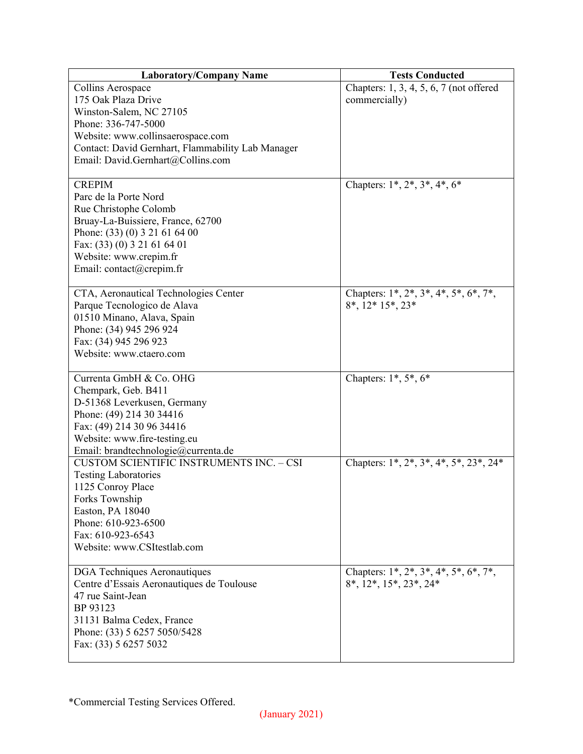| <b>Laboratory/Company Name</b>                    | <b>Tests Conducted</b>                         |
|---------------------------------------------------|------------------------------------------------|
| Collins Aerospace                                 | Chapters: 1, 3, 4, 5, 6, 7 (not offered        |
| 175 Oak Plaza Drive                               | commercially)                                  |
| Winston-Salem, NC 27105                           |                                                |
| Phone: 336-747-5000                               |                                                |
| Website: www.collinsaerospace.com                 |                                                |
| Contact: David Gernhart, Flammability Lab Manager |                                                |
| Email: David.Gernhart@Collins.com                 |                                                |
|                                                   |                                                |
| <b>CREPIM</b>                                     | Chapters: $1^*, 2^*, 3^*, 4^*, 6^*$            |
| Parc de la Porte Nord                             |                                                |
| Rue Christophe Colomb                             |                                                |
| Bruay-La-Buissiere, France, 62700                 |                                                |
| Phone: (33) (0) 3 21 61 64 00                     |                                                |
| Fax: (33) (0) 3 21 61 64 01                       |                                                |
| Website: www.crepim.fr                            |                                                |
| Email: contact@crepim.fr                          |                                                |
|                                                   |                                                |
| CTA, Aeronautical Technologies Center             | Chapters: 1*, 2*, 3*, 4*, 5*, 6*, 7*,          |
| Parque Tecnologico de Alava                       | $8^*$ , $12^*$ $15^*$ , $23^*$                 |
| 01510 Minano, Alava, Spain                        |                                                |
| Phone: (34) 945 296 924                           |                                                |
| Fax: (34) 945 296 923                             |                                                |
| Website: www.ctaero.com                           |                                                |
|                                                   |                                                |
| Currenta GmbH & Co. OHG                           | Chapters: $1^*, 5^*, 6^*$                      |
| Chempark, Geb. B411                               |                                                |
| D-51368 Leverkusen, Germany                       |                                                |
| Phone: (49) 214 30 34416                          |                                                |
| Fax: (49) 214 30 96 34416                         |                                                |
| Website: www.fire-testing.eu                      |                                                |
| Email: brandtechnologie@currenta.de               |                                                |
| <b>CUSTOM SCIENTIFIC INSTRUMENTS INC. - CSI</b>   | Chapters: 1*, 2*, 3*, 4*, 5*, 23*, 24*         |
| <b>Testing Laboratories</b>                       |                                                |
| 1125 Conroy Place                                 |                                                |
| Forks Township                                    |                                                |
| Easton, PA 18040                                  |                                                |
| Phone: 610-923-6500                               |                                                |
| Fax: 610-923-6543                                 |                                                |
| Website: www.CSItestlab.com                       |                                                |
|                                                   |                                                |
| <b>DGA</b> Techniques Aeronautiques               | Chapters: $1^*, 2^*, 3^*, 4^*, 5^*, 6^*, 7^*,$ |
| Centre d'Essais Aeronautiques de Toulouse         | $8^*$ , $12^*$ , $15^*$ , $23^*$ , $24^*$      |
| 47 rue Saint-Jean                                 |                                                |
| BP 93123                                          |                                                |
| 31131 Balma Cedex, France                         |                                                |
| Phone: (33) 5 6257 5050/5428                      |                                                |
| Fax: (33) 5 6257 5032                             |                                                |
|                                                   |                                                |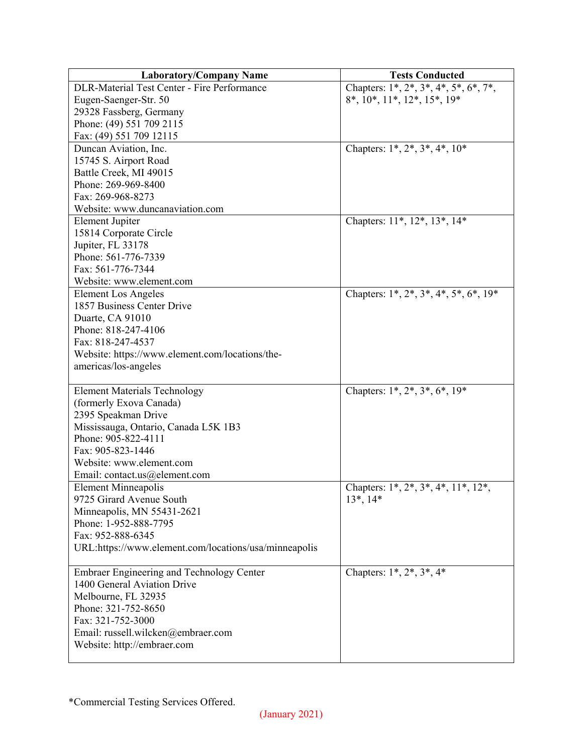| <b>Laboratory/Company Name</b>                         | <b>Tests Conducted</b>                             |
|--------------------------------------------------------|----------------------------------------------------|
| DLR-Material Test Center - Fire Performance            | Chapters: $1^*, 2^*, 3^*, 4^*, 5^*, 6^*, 7^*,$     |
| Eugen-Saenger-Str. 50                                  | $8^*$ , $10^*$ , $11^*$ , $12^*$ , $15^*$ , $19^*$ |
| 29328 Fassberg, Germany                                |                                                    |
| Phone: (49) 551 709 2115                               |                                                    |
| Fax: (49) 551 709 12115                                |                                                    |
| Duncan Aviation, Inc.                                  | Chapters: $1^*, 2^*, 3^*, 4^*, 10^*$               |
| 15745 S. Airport Road                                  |                                                    |
| Battle Creek, MI 49015                                 |                                                    |
| Phone: 269-969-8400                                    |                                                    |
| Fax: 269-968-8273                                      |                                                    |
| Website: www.duncanaviation.com                        |                                                    |
| <b>Element Jupiter</b>                                 | Chapters: 11*, 12*, 13*, 14*                       |
| 15814 Corporate Circle                                 |                                                    |
| Jupiter, FL 33178                                      |                                                    |
| Phone: 561-776-7339                                    |                                                    |
| Fax: 561-776-7344                                      |                                                    |
| Website: www.element.com                               |                                                    |
| <b>Element Los Angeles</b>                             | Chapters: $1^*, 2^*, 3^*, 4^*, 5^*, 6^*, 19^*$     |
| 1857 Business Center Drive                             |                                                    |
| Duarte, CA 91010                                       |                                                    |
| Phone: 818-247-4106                                    |                                                    |
| Fax: 818-247-4537                                      |                                                    |
| Website: https://www.element.com/locations/the-        |                                                    |
| americas/los-angeles                                   |                                                    |
|                                                        |                                                    |
| <b>Element Materials Technology</b>                    | Chapters: $1^*$ , $2^*$ , $3^*$ , $6^*$ , $19^*$   |
| (formerly Exova Canada)                                |                                                    |
| 2395 Speakman Drive                                    |                                                    |
| Mississauga, Ontario, Canada L5K 1B3                   |                                                    |
| Phone: 905-822-4111                                    |                                                    |
| Fax: 905-823-1446                                      |                                                    |
| Website: www.element.com                               |                                                    |
| Email: contact.us@element.com                          |                                                    |
| <b>Element Minneapolis</b><br>9725 Girard Avenue South | Chapters: $1^*, 2^*, 3^*, 4^*, 11^*, 12^*,$        |
| Minneapolis, MN 55431-2621                             | $13^*$ , $14^*$                                    |
| Phone: 1-952-888-7795                                  |                                                    |
| Fax: 952-888-6345                                      |                                                    |
| URL:https://www.element.com/locations/usa/minneapolis  |                                                    |
|                                                        |                                                    |
| <b>Embraer Engineering and Technology Center</b>       | Chapters: $1^*, 2^*, 3^*, 4^*$                     |
| 1400 General Aviation Drive                            |                                                    |
| Melbourne, FL 32935                                    |                                                    |
| Phone: 321-752-8650                                    |                                                    |
| Fax: 321-752-3000                                      |                                                    |
| Email: russell.wilcken@embraer.com                     |                                                    |
| Website: http://embraer.com                            |                                                    |
|                                                        |                                                    |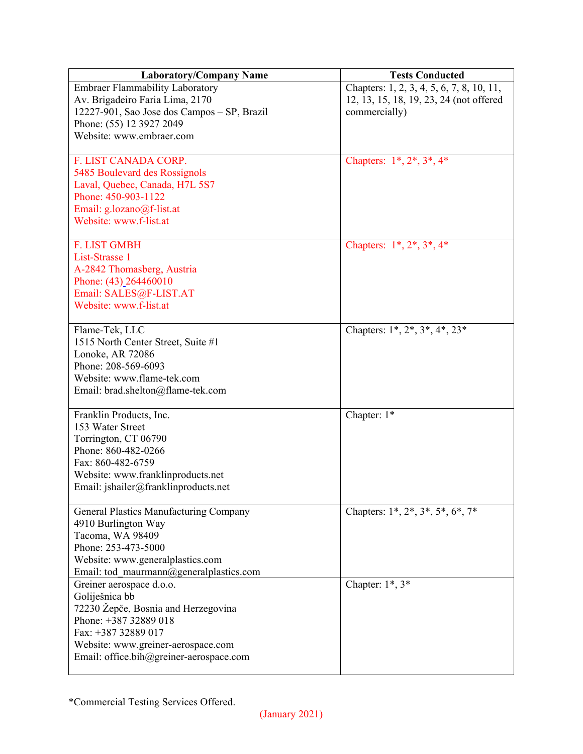| <b>Laboratory/Company Name</b>              | <b>Tests Conducted</b>                    |
|---------------------------------------------|-------------------------------------------|
| <b>Embraer Flammability Laboratory</b>      | Chapters: 1, 2, 3, 4, 5, 6, 7, 8, 10, 11, |
| Av. Brigadeiro Faria Lima, 2170             | 12, 13, 15, 18, 19, 23, 24 (not offered   |
| 12227-901, Sao Jose dos Campos - SP, Brazil | commercially)                             |
| Phone: (55) 12 3927 2049                    |                                           |
| Website: www.embraer.com                    |                                           |
|                                             |                                           |
| F. LIST CANADA CORP.                        | Chapters: $1^*, 2^*, 3^*, 4^*$            |
| 5485 Boulevard des Rossignols               |                                           |
| Laval, Quebec, Canada, H7L 5S7              |                                           |
| Phone: 450-903-1122                         |                                           |
| Email: g.lozano@f-list.at                   |                                           |
| Website: www.f-list.at                      |                                           |
|                                             |                                           |
| <b>F. LIST GMBH</b>                         | Chapters: $1^*, 2^*, 3^*, 4^*$            |
| List-Strasse 1                              |                                           |
| A-2842 Thomasberg, Austria                  |                                           |
| Phone: (43) 264460010                       |                                           |
| Email: SALES@F-LIST.AT                      |                                           |
| Website: www.f-list.at                      |                                           |
|                                             |                                           |
| Flame-Tek, LLC                              | Chapters: 1*, 2*, 3*, 4*, 23*             |
| 1515 North Center Street, Suite #1          |                                           |
| Lonoke, AR 72086                            |                                           |
| Phone: 208-569-6093                         |                                           |
| Website: www.flame-tek.com                  |                                           |
| Email: brad.shelton@flame-tek.com           |                                           |
|                                             |                                           |
| Franklin Products, Inc.                     | Chapter: $1^*$                            |
| 153 Water Street                            |                                           |
| Torrington, CT 06790                        |                                           |
| Phone: 860-482-0266                         |                                           |
| Fax: 860-482-6759                           |                                           |
| Website: www.franklinproducts.net           |                                           |
| Email: jshailer@franklinproducts.net        |                                           |
|                                             |                                           |
| General Plastics Manufacturing Company      | Chapters: 1*, 2*, 3*, 5*, 6*, 7*          |
| 4910 Burlington Way                         |                                           |
| Tacoma, WA 98409                            |                                           |
| Phone: 253-473-5000                         |                                           |
| Website: www.generalplastics.com            |                                           |
| Email: tod maurmann@generalplastics.com     |                                           |
| Greiner aerospace d.o.o.                    | Chapter: $1^*$ , $3^*$                    |
| Goliješnica bb                              |                                           |
| 72230 Žepče, Bosnia and Herzegovina         |                                           |
| Phone: +387 32889 018                       |                                           |
| Fax: +387 32889 017                         |                                           |
| Website: www.greiner-aerospace.com          |                                           |
| Email: office.bih@greiner-aerospace.com     |                                           |
|                                             |                                           |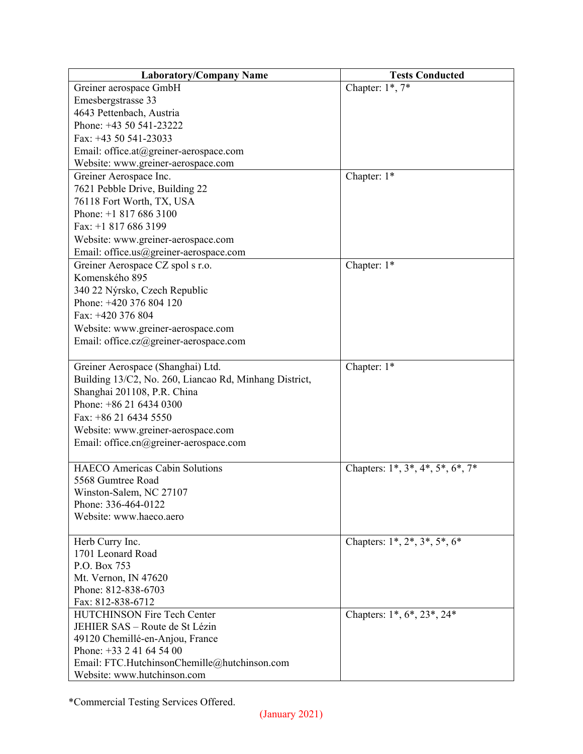| <b>Laboratory/Company Name</b>                         | <b>Tests Conducted</b>                   |
|--------------------------------------------------------|------------------------------------------|
| Greiner aerospace GmbH                                 | Chapter: $1^*$ , $7^*$                   |
| Emesbergstrasse 33                                     |                                          |
| 4643 Pettenbach, Austria                               |                                          |
| Phone: +43 50 541-23222                                |                                          |
| Fax: $+43$ 50 541-23033                                |                                          |
| Email: office.at@greiner-aerospace.com                 |                                          |
| Website: www.greiner-aerospace.com                     |                                          |
| Greiner Aerospace Inc.                                 | Chapter: 1*                              |
| 7621 Pebble Drive, Building 22                         |                                          |
| 76118 Fort Worth, TX, USA                              |                                          |
| Phone: $+18176863100$                                  |                                          |
| Fax: +1 817 686 3199                                   |                                          |
| Website: www.greiner-aerospace.com                     |                                          |
| Email: office.us@greiner-aerospace.com                 |                                          |
| Greiner Aerospace CZ spol s r.o.                       | Chapter: 1*                              |
| Komenského 895                                         |                                          |
| 340 22 Nýrsko, Czech Republic                          |                                          |
| Phone: +420 376 804 120                                |                                          |
| Fax: +420 376 804                                      |                                          |
| Website: www.greiner-aerospace.com                     |                                          |
| Email: office.cz@greiner-aerospace.com                 |                                          |
|                                                        |                                          |
| Greiner Aerospace (Shanghai) Ltd.                      | Chapter: 1*                              |
| Building 13/C2, No. 260, Liancao Rd, Minhang District, |                                          |
| Shanghai 201108, P.R. China                            |                                          |
| Phone: $+862164340300$                                 |                                          |
| Fax: +86 21 6434 5550                                  |                                          |
| Website: www.greiner-aerospace.com                     |                                          |
| Email: office.cn@greiner-aerospace.com                 |                                          |
|                                                        |                                          |
| <b>HAECO</b> Americas Cabin Solutions                  | Chapters: $1^*, 3^*, 4^*, 5^*, 6^*, 7^*$ |
| 5568 Gumtree Road                                      |                                          |
| Winston-Salem, NC 27107                                |                                          |
| Phone: 336-464-0122                                    |                                          |
| Website: www.haeco.aero                                |                                          |
|                                                        |                                          |
| Herb Curry Inc.                                        | Chapters: $1^*, 2^*, 3^*, 5^*, 6^*$      |
| 1701 Leonard Road                                      |                                          |
| P.O. Box 753                                           |                                          |
| Mt. Vernon, IN 47620                                   |                                          |
| Phone: 812-838-6703                                    |                                          |
| Fax: 812-838-6712                                      |                                          |
| HUTCHINSON Fire Tech Center                            | Chapters: 1*, 6*, 23*, 24*               |
| JEHIER SAS - Route de St Lézin                         |                                          |
| 49120 Chemillé-en-Anjou, France                        |                                          |
| Phone: +33 2 41 64 54 00                               |                                          |
| Email: FTC.HutchinsonChemille@hutchinson.com           |                                          |
| Website: www.hutchinson.com                            |                                          |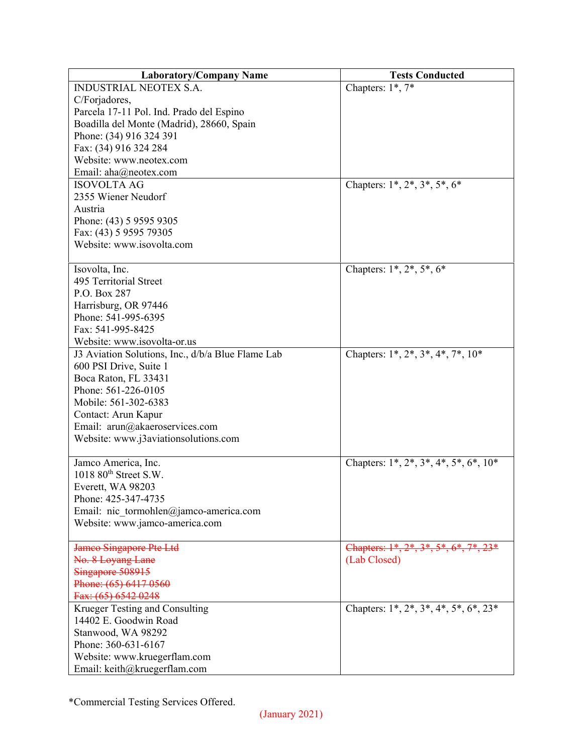| <b>Laboratory/Company Name</b>                    | <b>Tests Conducted</b>                          |
|---------------------------------------------------|-------------------------------------------------|
| <b>INDUSTRIAL NEOTEX S.A.</b>                     | Chapters: 1*, 7*                                |
| C/Forjadores,                                     |                                                 |
| Parcela 17-11 Pol. Ind. Prado del Espino          |                                                 |
| Boadilla del Monte (Madrid), 28660, Spain         |                                                 |
| Phone: (34) 916 324 391                           |                                                 |
| Fax: (34) 916 324 284                             |                                                 |
| Website: www.neotex.com                           |                                                 |
| Email: aha@neotex.com                             |                                                 |
| <b>ISOVOLTA AG</b>                                | Chapters: $1^*$ , $2^*$ , $3^*$ , $5^*$ , $6^*$ |
| 2355 Wiener Neudorf                               |                                                 |
| Austria                                           |                                                 |
| Phone: (43) 5 9595 9305                           |                                                 |
| Fax: (43) 5 9595 79305                            |                                                 |
| Website: www.isovolta.com                         |                                                 |
|                                                   |                                                 |
| Isovolta, Inc.                                    | Chapters: $1^*, 2^*, 5^*, 6^*$                  |
| 495 Territorial Street                            |                                                 |
| P.O. Box 287                                      |                                                 |
| Harrisburg, OR 97446                              |                                                 |
| Phone: 541-995-6395                               |                                                 |
| Fax: 541-995-8425                                 |                                                 |
| Website: www.isovolta-or.us                       |                                                 |
| J3 Aviation Solutions, Inc., d/b/a Blue Flame Lab | Chapters: $1^*, 2^*, 3^*, 4^*, 7^*, 10^*$       |
| 600 PSI Drive, Suite 1                            |                                                 |
| Boca Raton, FL 33431                              |                                                 |
| Phone: 561-226-0105                               |                                                 |
| Mobile: 561-302-6383                              |                                                 |
| Contact: Arun Kapur                               |                                                 |
| Email: arun@akaeroservices.com                    |                                                 |
| Website: www.j3aviationsolutions.com              |                                                 |
|                                                   |                                                 |
| Jamco America, Inc.                               | Chapters: $1^*, 2^*, 3^*, 4^*, 5^*, 6^*, 10^*$  |
| $1018~80$ <sup>th</sup> Street S.W.               |                                                 |
| Everett, WA 98203                                 |                                                 |
| Phone: 425-347-4735                               |                                                 |
| Email: nic tormohlen@jamco-america.com            |                                                 |
| Website: www.jamco-america.com                    |                                                 |
|                                                   |                                                 |
| Jameo Singapore Pte Ltd                           | Chapters: 1*, 2*, 3*, 5*, 6*, 7*, 23*           |
| No. 8 Loyang Lane                                 | (Lab Closed)                                    |
| Singapore 508915                                  |                                                 |
| Phone: (65) 6417 0560                             |                                                 |
| Fax: (65) 6542 0248                               |                                                 |
| Krueger Testing and Consulting                    | Chapters: $1^*, 2^*, 3^*, 4^*, 5^*, 6^*, 23^*$  |
| 14402 E. Goodwin Road                             |                                                 |
| Stanwood, WA 98292                                |                                                 |
| Phone: 360-631-6167                               |                                                 |
| Website: www.kruegerflam.com                      |                                                 |
| Email: keith@kruegerflam.com                      |                                                 |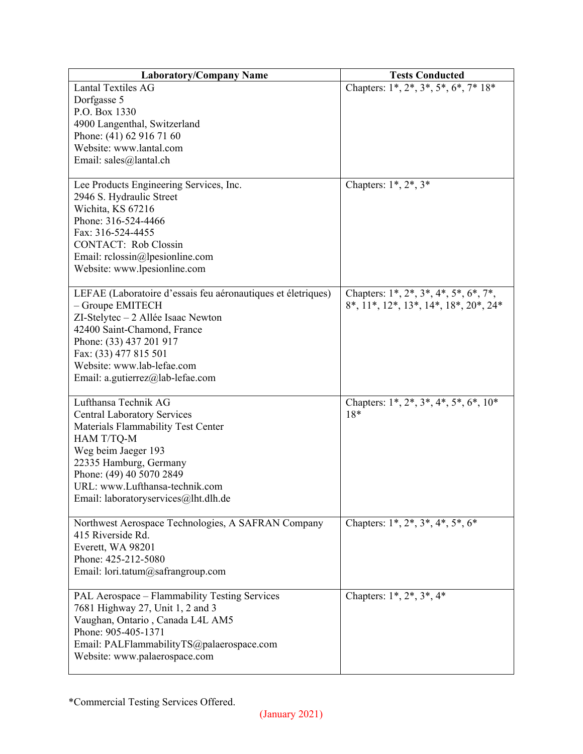| <b>Laboratory/Company Name</b>                                          | <b>Tests Conducted</b>                          |
|-------------------------------------------------------------------------|-------------------------------------------------|
| Lantal Textiles AG                                                      | Chapters: 1*, 2*, 3*, 5*, 6*, 7* 18*            |
| Dorfgasse 5                                                             |                                                 |
| P.O. Box 1330                                                           |                                                 |
| 4900 Langenthal, Switzerland                                            |                                                 |
| Phone: (41) 62 916 71 60                                                |                                                 |
| Website: www.lantal.com                                                 |                                                 |
| Email: sales@lantal.ch                                                  |                                                 |
|                                                                         |                                                 |
| Lee Products Engineering Services, Inc.                                 | Chapters: $1^*, 2^*, 3^*$                       |
| 2946 S. Hydraulic Street                                                |                                                 |
| Wichita, KS 67216                                                       |                                                 |
| Phone: 316-524-4466                                                     |                                                 |
| Fax: 316-524-4455                                                       |                                                 |
| <b>CONTACT:</b> Rob Clossin                                             |                                                 |
| Email: $rclossin@lpsilon.$                                              |                                                 |
| Website: www.lpesionline.com                                            |                                                 |
|                                                                         |                                                 |
| LEFAE (Laboratoire d'essais feu aéronautiques et életriques)            | Chapters: $1^*, 2^*, 3^*, 4^*, 5^*, 6^*, 7^*,$  |
| - Groupe EMITECH                                                        | $8^*, 11^*, 12^*, 13^*, 14^*, 18^*, 20^*, 24^*$ |
| ZI-Stelytec - 2 Allée Isaac Newton                                      |                                                 |
| 42400 Saint-Chamond, France                                             |                                                 |
| Phone: (33) 437 201 917                                                 |                                                 |
| Fax: (33) 477 815 501                                                   |                                                 |
| Website: www.lab-lefae.com                                              |                                                 |
| Email: a.gutierrez@lab-lefae.com                                        |                                                 |
|                                                                         |                                                 |
| Lufthansa Technik AG                                                    | Chapters: $1^*, 2^*, 3^*, 4^*, 5^*, 6^*, 10^*$  |
| <b>Central Laboratory Services</b>                                      | $18*$                                           |
| Materials Flammability Test Center                                      |                                                 |
| HAM T/TQ-M                                                              |                                                 |
| Weg beim Jaeger 193                                                     |                                                 |
| 22335 Hamburg, Germany                                                  |                                                 |
| Phone: (49) 40 5070 2849                                                |                                                 |
| URL: www.Lufthansa-technik.com                                          |                                                 |
| Email: laboratoryservices@lht.dlh.de                                    |                                                 |
|                                                                         |                                                 |
| Northwest Aerospace Technologies, A SAFRAN Company<br>415 Riverside Rd. | Chapters: $1^*, 2^*, 3^*, 4^*, 5^*, 6^*$        |
|                                                                         |                                                 |
| Everett, WA 98201<br>Phone: 425-212-5080                                |                                                 |
|                                                                         |                                                 |
| Email: lori.tatum@safrangroup.com                                       |                                                 |
| PAL Aerospace – Flammability Testing Services                           | Chapters: $1^*, 2^*, 3^*, 4^*$                  |
| 7681 Highway 27, Unit 1, 2 and 3                                        |                                                 |
| Vaughan, Ontario, Canada L4L AM5                                        |                                                 |
| Phone: 905-405-1371                                                     |                                                 |
| Email: PALFlammabilityTS@palaerospace.com                               |                                                 |
| Website: www.palaerospace.com                                           |                                                 |
|                                                                         |                                                 |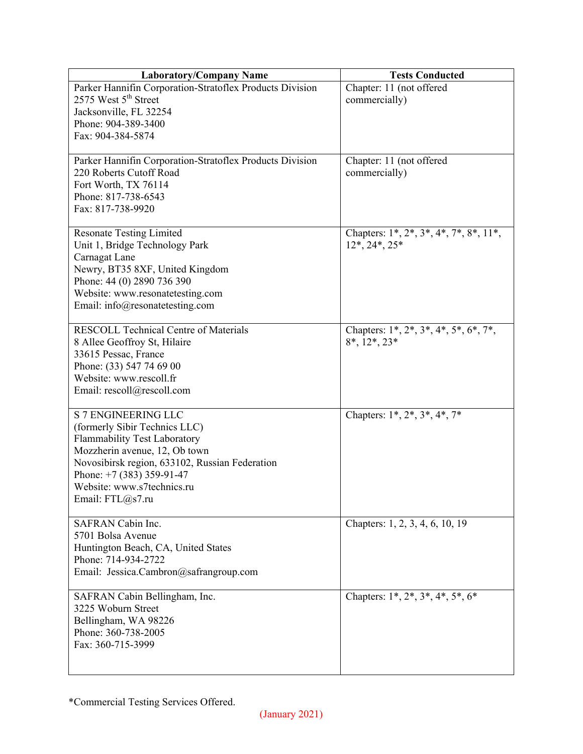| <b>Laboratory/Company Name</b>                           | <b>Tests Conducted</b>                                            |
|----------------------------------------------------------|-------------------------------------------------------------------|
| Parker Hannifin Corporation-Stratoflex Products Division | Chapter: 11 (not offered                                          |
| 2575 West 5 <sup>th</sup> Street                         | commercially)                                                     |
| Jacksonville, FL 32254                                   |                                                                   |
| Phone: 904-389-3400                                      |                                                                   |
| Fax: 904-384-5874                                        |                                                                   |
|                                                          |                                                                   |
| Parker Hannifin Corporation-Stratoflex Products Division | Chapter: 11 (not offered                                          |
| 220 Roberts Cutoff Road                                  | commercially)                                                     |
| Fort Worth, TX 76114                                     |                                                                   |
| Phone: 817-738-6543                                      |                                                                   |
| Fax: 817-738-9920                                        |                                                                   |
|                                                          |                                                                   |
| <b>Resonate Testing Limited</b>                          | Chapters: 1*, 2*, 3*, 4*, 7*, 8*, 11*,                            |
| Unit 1, Bridge Technology Park                           | $12^*, 24^*, 25^*$                                                |
| Carnagat Lane                                            |                                                                   |
| Newry, BT35 8XF, United Kingdom                          |                                                                   |
|                                                          |                                                                   |
| Phone: 44 (0) 2890 736 390                               |                                                                   |
| Website: www.resonatetesting.com                         |                                                                   |
| Email: $info@$ resonatetesting.com                       |                                                                   |
| <b>RESCOLL Technical Centre of Materials</b>             | Chapters: $1^*$ , $2^*$ , $3^*$ , $4^*$ , $5^*$ , $6^*$ , $7^*$ , |
|                                                          | $8^*, 12^*, 23^*$                                                 |
| 8 Allee Geoffroy St, Hilaire                             |                                                                   |
| 33615 Pessac, France                                     |                                                                   |
| Phone: (33) 547 74 69 00                                 |                                                                   |
| Website: www.rescoll.fr                                  |                                                                   |
| Email: rescoll@rescoll.com                               |                                                                   |
| <b>S 7 ENGINEERING LLC</b>                               | Chapters: 1*, 2*, 3*, 4*, 7*                                      |
|                                                          |                                                                   |
| (formerly Sibir Technics LLC)                            |                                                                   |
| <b>Flammability Test Laboratory</b>                      |                                                                   |
| Mozzherin avenue, 12, Ob town                            |                                                                   |
| Novosibirsk region, 633102, Russian Federation           |                                                                   |
| Phone: $+7$ (383) 359-91-47                              |                                                                   |
| Website: www.s7technics.ru                               |                                                                   |
| Email: FTL@s7.ru                                         |                                                                   |
|                                                          |                                                                   |
| SAFRAN Cabin Inc.                                        | Chapters: 1, 2, 3, 4, 6, 10, 19                                   |
| 5701 Bolsa Avenue                                        |                                                                   |
| Huntington Beach, CA, United States                      |                                                                   |
| Phone: 714-934-2722                                      |                                                                   |
| Email: Jessica.Cambron@safrangroup.com                   |                                                                   |
|                                                          |                                                                   |
| SAFRAN Cabin Bellingham, Inc.                            | Chapters: $1^*, 2^*, 3^*, 4^*, 5^*, 6^*$                          |
| 3225 Woburn Street                                       |                                                                   |
| Bellingham, WA 98226                                     |                                                                   |
| Phone: 360-738-2005                                      |                                                                   |
| Fax: 360-715-3999                                        |                                                                   |
|                                                          |                                                                   |
|                                                          |                                                                   |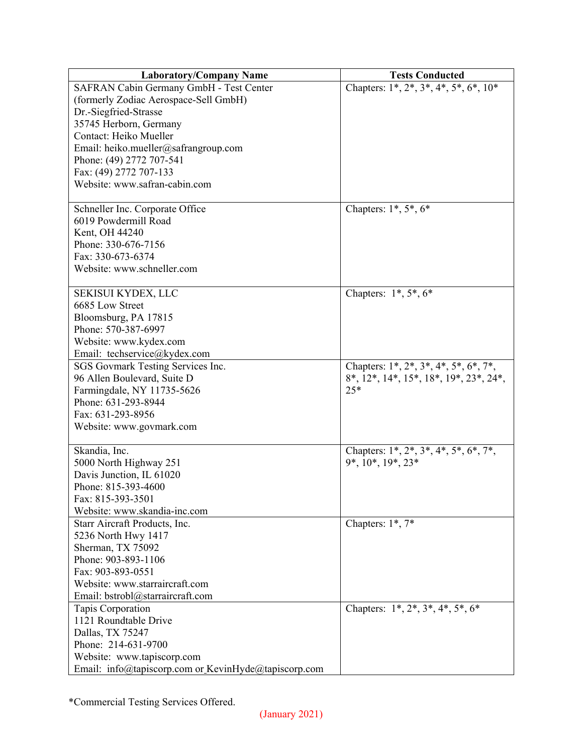| SAFRAN Cabin Germany GmbH - Test Center<br>Chapters: $1^*, 2^*, 3^*, 4^*, 5^*, 6^*, 10^*$<br>(formerly Zodiac Aerospace-Sell GmbH)<br>Dr.-Siegfried-Strasse<br>35745 Herborn, Germany<br>Contact: Heiko Mueller<br>Email: heiko.mueller@safrangroup.com<br>Phone: (49) 2772 707-541<br>Fax: (49) 2772 707-133<br>Website: www.safran-cabin.com<br>Chapters: $1^*, 5^*, 6^*$<br>Schneller Inc. Corporate Office<br>6019 Powdermill Road<br>Kent, OH 44240<br>Phone: 330-676-7156<br>Fax: 330-673-6374<br>Website: www.schneller.com<br>Chapters: $1^*, 5^*, 6^*$<br>SEKISUI KYDEX, LLC<br>6685 Low Street<br>Bloomsburg, PA 17815<br>Phone: 570-387-6997 |
|---------------------------------------------------------------------------------------------------------------------------------------------------------------------------------------------------------------------------------------------------------------------------------------------------------------------------------------------------------------------------------------------------------------------------------------------------------------------------------------------------------------------------------------------------------------------------------------------------------------------------------------------------------|
|                                                                                                                                                                                                                                                                                                                                                                                                                                                                                                                                                                                                                                                         |
|                                                                                                                                                                                                                                                                                                                                                                                                                                                                                                                                                                                                                                                         |
|                                                                                                                                                                                                                                                                                                                                                                                                                                                                                                                                                                                                                                                         |
|                                                                                                                                                                                                                                                                                                                                                                                                                                                                                                                                                                                                                                                         |
|                                                                                                                                                                                                                                                                                                                                                                                                                                                                                                                                                                                                                                                         |
|                                                                                                                                                                                                                                                                                                                                                                                                                                                                                                                                                                                                                                                         |
|                                                                                                                                                                                                                                                                                                                                                                                                                                                                                                                                                                                                                                                         |
|                                                                                                                                                                                                                                                                                                                                                                                                                                                                                                                                                                                                                                                         |
|                                                                                                                                                                                                                                                                                                                                                                                                                                                                                                                                                                                                                                                         |
|                                                                                                                                                                                                                                                                                                                                                                                                                                                                                                                                                                                                                                                         |
|                                                                                                                                                                                                                                                                                                                                                                                                                                                                                                                                                                                                                                                         |
|                                                                                                                                                                                                                                                                                                                                                                                                                                                                                                                                                                                                                                                         |
|                                                                                                                                                                                                                                                                                                                                                                                                                                                                                                                                                                                                                                                         |
|                                                                                                                                                                                                                                                                                                                                                                                                                                                                                                                                                                                                                                                         |
|                                                                                                                                                                                                                                                                                                                                                                                                                                                                                                                                                                                                                                                         |
|                                                                                                                                                                                                                                                                                                                                                                                                                                                                                                                                                                                                                                                         |
|                                                                                                                                                                                                                                                                                                                                                                                                                                                                                                                                                                                                                                                         |
|                                                                                                                                                                                                                                                                                                                                                                                                                                                                                                                                                                                                                                                         |
|                                                                                                                                                                                                                                                                                                                                                                                                                                                                                                                                                                                                                                                         |
|                                                                                                                                                                                                                                                                                                                                                                                                                                                                                                                                                                                                                                                         |
|                                                                                                                                                                                                                                                                                                                                                                                                                                                                                                                                                                                                                                                         |
| Website: www.kydex.com                                                                                                                                                                                                                                                                                                                                                                                                                                                                                                                                                                                                                                  |
| Email: techservice@kydex.com                                                                                                                                                                                                                                                                                                                                                                                                                                                                                                                                                                                                                            |
| Chapters: $1^*, 2^*, 3^*, 4^*, 5^*, 6^*, 7^*,$<br>SGS Govmark Testing Services Inc.                                                                                                                                                                                                                                                                                                                                                                                                                                                                                                                                                                     |
| 96 Allen Boulevard, Suite D<br>8*, 12*, 14*, 15*, 18*, 19*, 23*, 24*,                                                                                                                                                                                                                                                                                                                                                                                                                                                                                                                                                                                   |
| Farmingdale, NY 11735-5626<br>$25*$                                                                                                                                                                                                                                                                                                                                                                                                                                                                                                                                                                                                                     |
| Phone: 631-293-8944                                                                                                                                                                                                                                                                                                                                                                                                                                                                                                                                                                                                                                     |
| Fax: 631-293-8956                                                                                                                                                                                                                                                                                                                                                                                                                                                                                                                                                                                                                                       |
| Website: www.govmark.com                                                                                                                                                                                                                                                                                                                                                                                                                                                                                                                                                                                                                                |
|                                                                                                                                                                                                                                                                                                                                                                                                                                                                                                                                                                                                                                                         |
| Skandia, Inc.<br>Chapters: $1^*, 2^*, 3^*, 4^*, 5^*, 6^*, 7^*,$                                                                                                                                                                                                                                                                                                                                                                                                                                                                                                                                                                                         |
| $9^*, 10^*, 19^*, 23^*$<br>5000 North Highway 251                                                                                                                                                                                                                                                                                                                                                                                                                                                                                                                                                                                                       |
| Davis Junction, IL 61020                                                                                                                                                                                                                                                                                                                                                                                                                                                                                                                                                                                                                                |
| Phone: 815-393-4600                                                                                                                                                                                                                                                                                                                                                                                                                                                                                                                                                                                                                                     |
| Fax: 815-393-3501                                                                                                                                                                                                                                                                                                                                                                                                                                                                                                                                                                                                                                       |
| Website: www.skandia-inc.com                                                                                                                                                                                                                                                                                                                                                                                                                                                                                                                                                                                                                            |
| Chapters: 1*, 7*<br>Starr Aircraft Products, Inc.                                                                                                                                                                                                                                                                                                                                                                                                                                                                                                                                                                                                       |
| 5236 North Hwy 1417                                                                                                                                                                                                                                                                                                                                                                                                                                                                                                                                                                                                                                     |
| Sherman, TX 75092                                                                                                                                                                                                                                                                                                                                                                                                                                                                                                                                                                                                                                       |
| Phone: 903-893-1106                                                                                                                                                                                                                                                                                                                                                                                                                                                                                                                                                                                                                                     |
| Fax: 903-893-0551                                                                                                                                                                                                                                                                                                                                                                                                                                                                                                                                                                                                                                       |
| Website: www.starraircraft.com                                                                                                                                                                                                                                                                                                                                                                                                                                                                                                                                                                                                                          |
| Email: bstrobl@starraircraft.com                                                                                                                                                                                                                                                                                                                                                                                                                                                                                                                                                                                                                        |
| Chapters: 1*, 2*, 3*, 4*, 5*, 6*<br>Tapis Corporation                                                                                                                                                                                                                                                                                                                                                                                                                                                                                                                                                                                                   |
| 1121 Roundtable Drive                                                                                                                                                                                                                                                                                                                                                                                                                                                                                                                                                                                                                                   |
| Dallas, TX 75247                                                                                                                                                                                                                                                                                                                                                                                                                                                                                                                                                                                                                                        |
| Phone: 214-631-9700                                                                                                                                                                                                                                                                                                                                                                                                                                                                                                                                                                                                                                     |
| Website: www.tapiscorp.com                                                                                                                                                                                                                                                                                                                                                                                                                                                                                                                                                                                                                              |
| Email: info@tapiscorp.com or KevinHyde@tapiscorp.com                                                                                                                                                                                                                                                                                                                                                                                                                                                                                                                                                                                                    |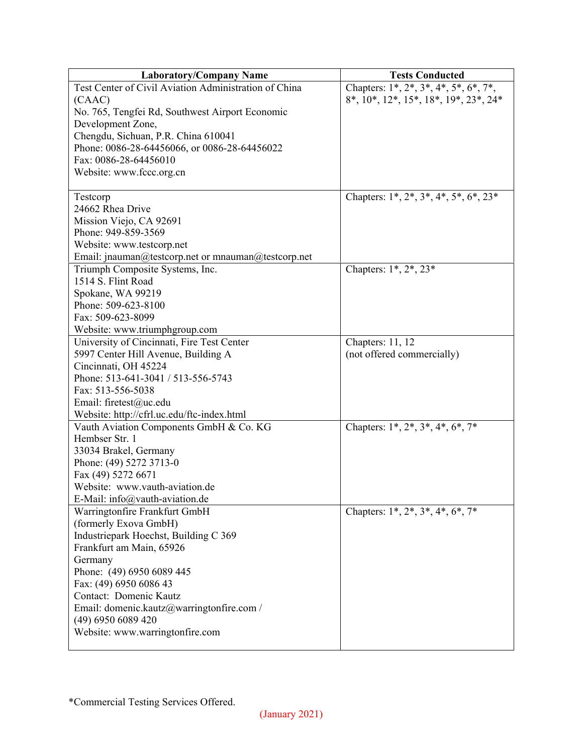| <b>Laboratory/Company Name</b>                        | <b>Tests Conducted</b>                         |
|-------------------------------------------------------|------------------------------------------------|
| Test Center of Civil Aviation Administration of China | Chapters: $1^*, 2^*, 3^*, 4^*, 5^*, 6^*, 7^*,$ |
| (CAAC)                                                | 8*, 10*, 12*, 15*, 18*, 19*, 23*, 24*          |
| No. 765, Tengfei Rd, Southwest Airport Economic       |                                                |
| Development Zone,                                     |                                                |
| Chengdu, Sichuan, P.R. China 610041                   |                                                |
| Phone: 0086-28-64456066, or 0086-28-64456022          |                                                |
| Fax: 0086-28-64456010                                 |                                                |
| Website: www.fccc.org.cn                              |                                                |
|                                                       |                                                |
| Testcorp                                              | Chapters: $1^*, 2^*, 3^*, 4^*, 5^*, 6^*, 23^*$ |
| 24662 Rhea Drive                                      |                                                |
| Mission Viejo, CA 92691                               |                                                |
| Phone: 949-859-3569                                   |                                                |
| Website: www.testcorp.net                             |                                                |
| Email: jnauman@testcorp.net or mnauman@testcorp.net   |                                                |
| Triumph Composite Systems, Inc.                       | Chapters: 1*, 2*, 23*                          |
| 1514 S. Flint Road                                    |                                                |
| Spokane, WA 99219                                     |                                                |
| Phone: 509-623-8100                                   |                                                |
| Fax: 509-623-8099                                     |                                                |
| Website: www.triumphgroup.com                         |                                                |
| University of Cincinnati, Fire Test Center            | Chapters: 11, 12                               |
| 5997 Center Hill Avenue, Building A                   | (not offered commercially)                     |
| Cincinnati, OH 45224                                  |                                                |
| Phone: 513-641-3041 / 513-556-5743                    |                                                |
| Fax: 513-556-5038                                     |                                                |
| Email: firetest@uc.edu                                |                                                |
| Website: http://cfrl.uc.edu/ftc-index.html            |                                                |
| Vauth Aviation Components GmbH & Co. KG               | Chapters: $1^*, 2^*, 3^*, 4^*, 6^*, 7^*$       |
| Hembser Str. 1                                        |                                                |
| 33034 Brakel, Germany                                 |                                                |
| Phone: (49) 5272 3713-0                               |                                                |
| Fax (49) 5272 6671                                    |                                                |
| Website: www.vauth-aviation.de                        |                                                |
| E-Mail: info@vauth-aviation.de                        |                                                |
| Warringtonfire Frankfurt GmbH                         | Chapters: $1^*, 2^*, 3^*, 4^*, 6^*, 7^*$       |
| (formerly Exova GmbH)                                 |                                                |
| Industriepark Hoechst, Building C 369                 |                                                |
| Frankfurt am Main, 65926                              |                                                |
| Germany                                               |                                                |
| Phone: (49) 6950 6089 445                             |                                                |
| Fax: (49) 6950 6086 43                                |                                                |
| Contact: Domenic Kautz                                |                                                |
| Email: domenic.kautz@warringtonfire.com /             |                                                |
| (49) 6950 6089 420                                    |                                                |
| Website: www.warringtonfire.com                       |                                                |
|                                                       |                                                |